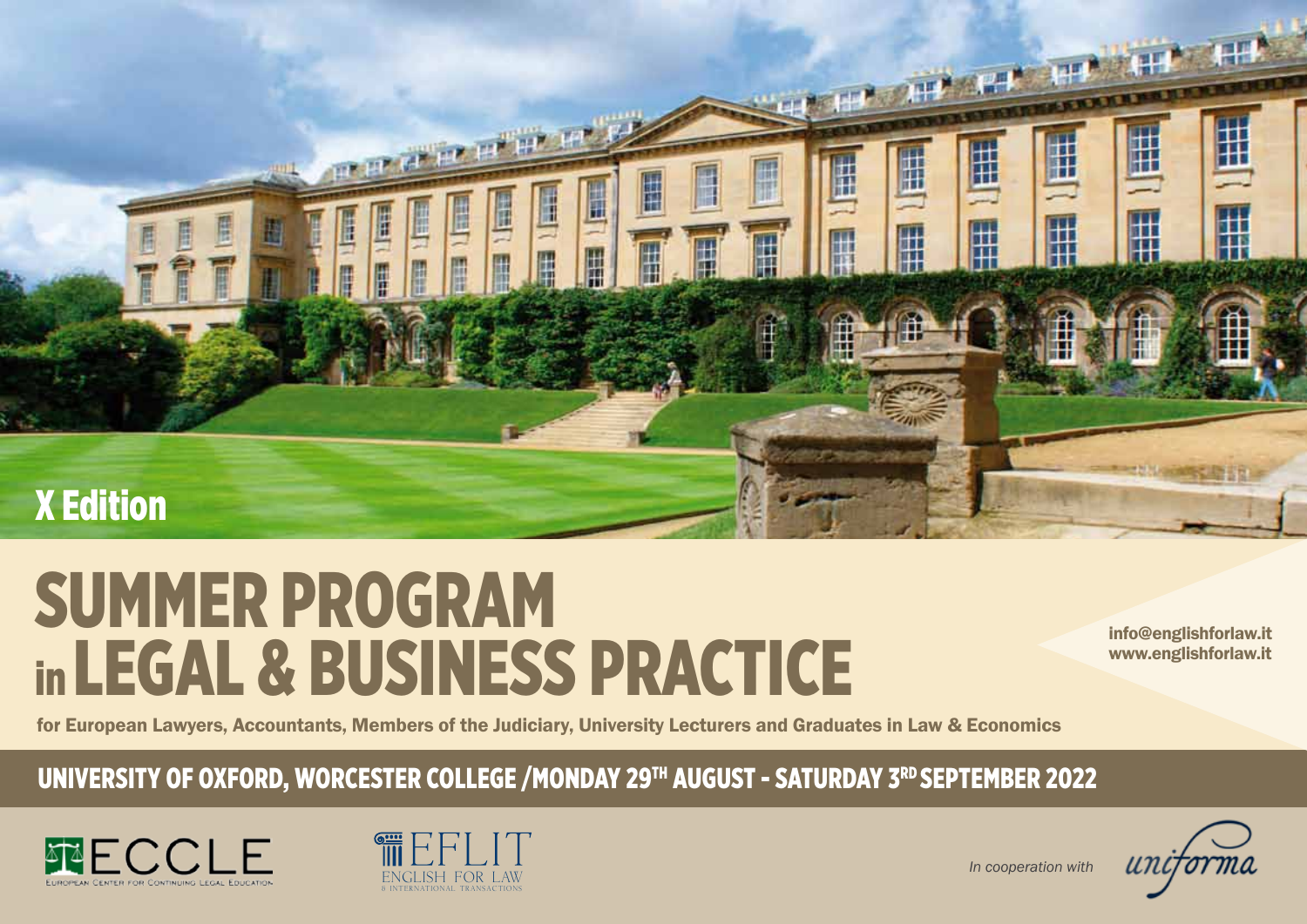

# summer program in LEGAL & BUSINESS PRACTICE

info@englishforlaw.it www.englishforlaw.it

for European Lawyers, Accountants, Members of the Judiciary, University Lecturers and Graduates in Law & Economics

UNIVERSITY OF OXFORD, WORCESTER COLLEGE /MONDAY 29<sup>TH</sup> AUGUST - SATURDAY 3<sup>RD</sup> SEPTEMBER 2022





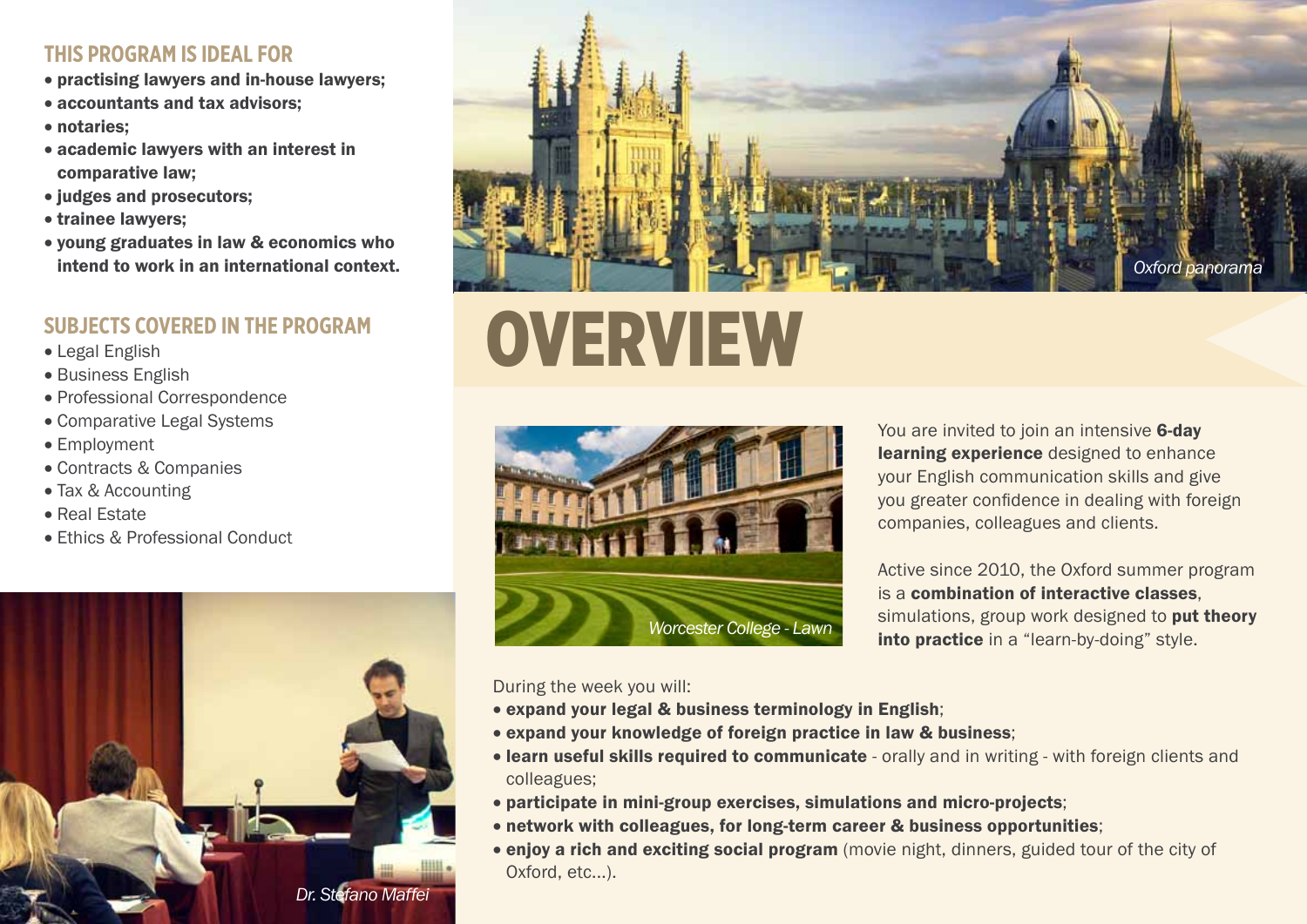## **This Program is Ideal for**

- practising lawyers and in-house lawyers;
- accountants and tax advisors:
- notaries:
- academic lawyers with an interest in comparative law;
- judges and prosecutors;
- • trainee lawyers;
- • young graduates in law & economics who intend to work in an international context.

# **SUBJECTS COVERED IN THE PROGRAM**

- • Legal English
- Business English
- Professional Correspondence
- Comparative Legal Systems
- Employment
- • Contracts & Companies
- Tax & Accounting
- • Real Estate
- Ethics & Professional Conduct





# overview



You are invited to join an intensive 6-day learning experience designed to enhance your English communication skills and give you greater confidence in dealing with foreign companies, colleagues and clients.

Active since 2010, the Oxford summer program is a combination of interactive classes, simulations, group work designed to put theory into practice in a "learn-by-doing" style.

During the week you will:

- expand your legal & business terminology in English;
- expand your knowledge of foreign practice in law & business;
- learn useful skills required to communicate orally and in writing with foreign clients and colleagues;
- • participate in mini-group exercises, simulations and micro-projects;
- network with colleagues, for long-term career & business opportunities;
- enjoy a rich and exciting social program (movie night, dinners, guided tour of the city of Oxford, etc...).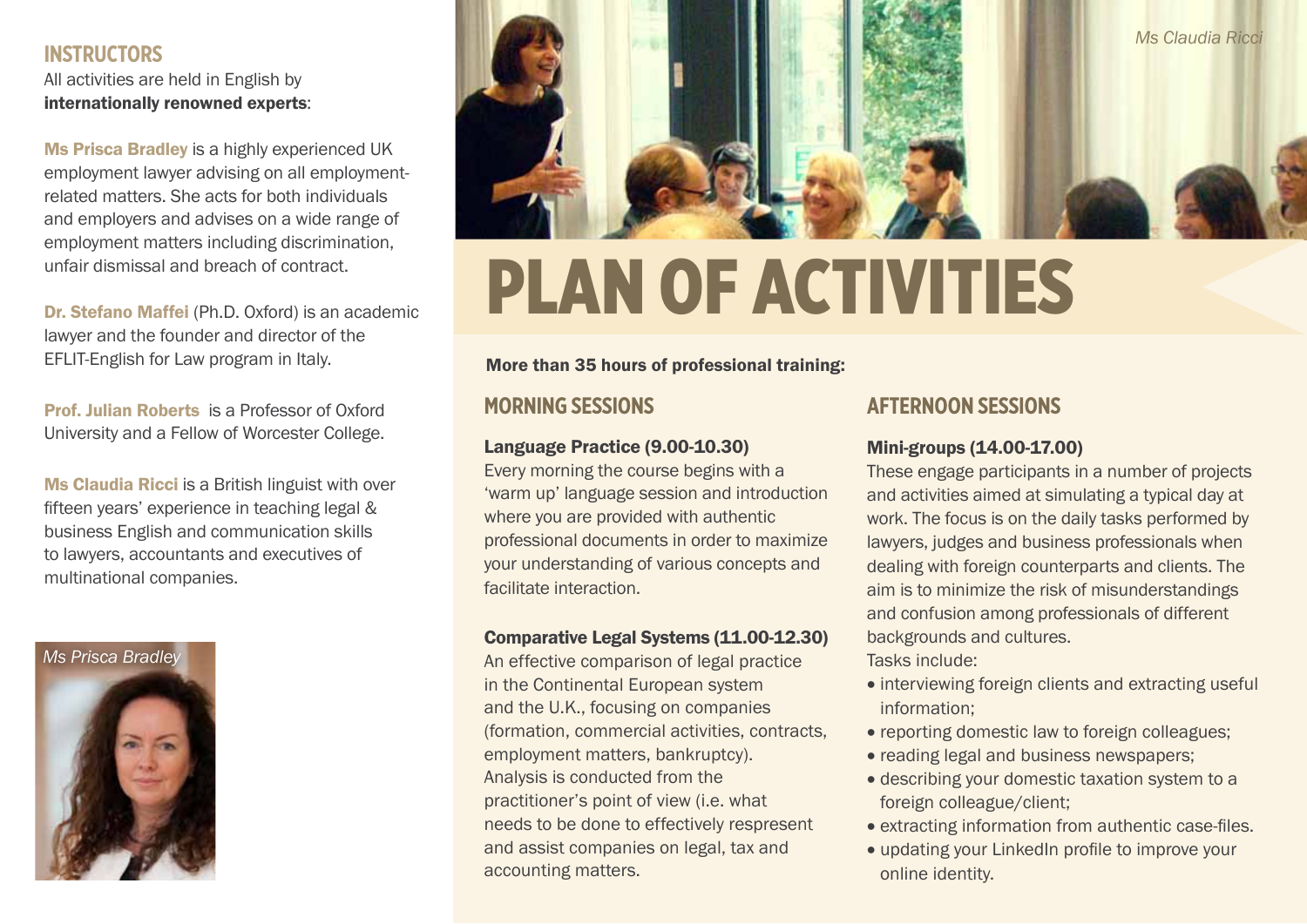### **Instructors**

All activities are held in English by internationally renowned experts:

Ms Prisca Bradley is a highly experienced UK employment lawyer advising on all employmentrelated matters. She acts for both individuals and employers and advises on a wide range of employment matters including discrimination, unfair dismissal and breach of contract.

Dr. Stefano Maffei (Ph.D. Oxford) is an academic lawyer and the founder and director of the EFLIT-English for Law program in Italy.

Prof. Julian Roberts is a Professor of Oxford University and a Fellow of Worcester College.

Ms Claudia Ricci is a British linguist with over fifteen years' experience in teaching legal & business English and communication skills to lawyers, accountants and executives of multinational companies.





# Plan of Activities

#### More than 35 hours of professional training:

# **Morning Sessions**

### Language Practice (9.00-10.30)

Every morning the course begins with a 'warm up' language session and introduction where you are provided with authentic professional documents in order to maximize your understanding of various concepts and facilitate interaction.

#### Comparative Legal Systems (11.00-12.30)

An effective comparison of legal practice in the Continental European system and the U.K., focusing on companies (formation, commercial activities, contracts, employment matters, bankruptcy). Analysis is conducted from the practitioner's point of view (i.e. what needs to be done to effectively respresent and assist companies on legal, tax and accounting matters.

## **Afternoon Sessions**

#### Mini-groups (14.00-17.00)

These engage participants in a number of projects and activities aimed at simulating a typical day at work. The focus is on the daily tasks performed by lawyers, judges and business professionals when dealing with foreign counterparts and clients. The aim is to minimize the risk of misunderstandings and confusion among professionals of different backgrounds and cultures.

Tasks include:

- interviewing foreign clients and extracting useful information;
- reporting domestic law to foreign colleagues;
- reading legal and business newspapers;
- describing your domestic taxation system to a foreign colleague/client;
- extracting information from authentic case-files.
- updating your LinkedIn profile to improve your online identity.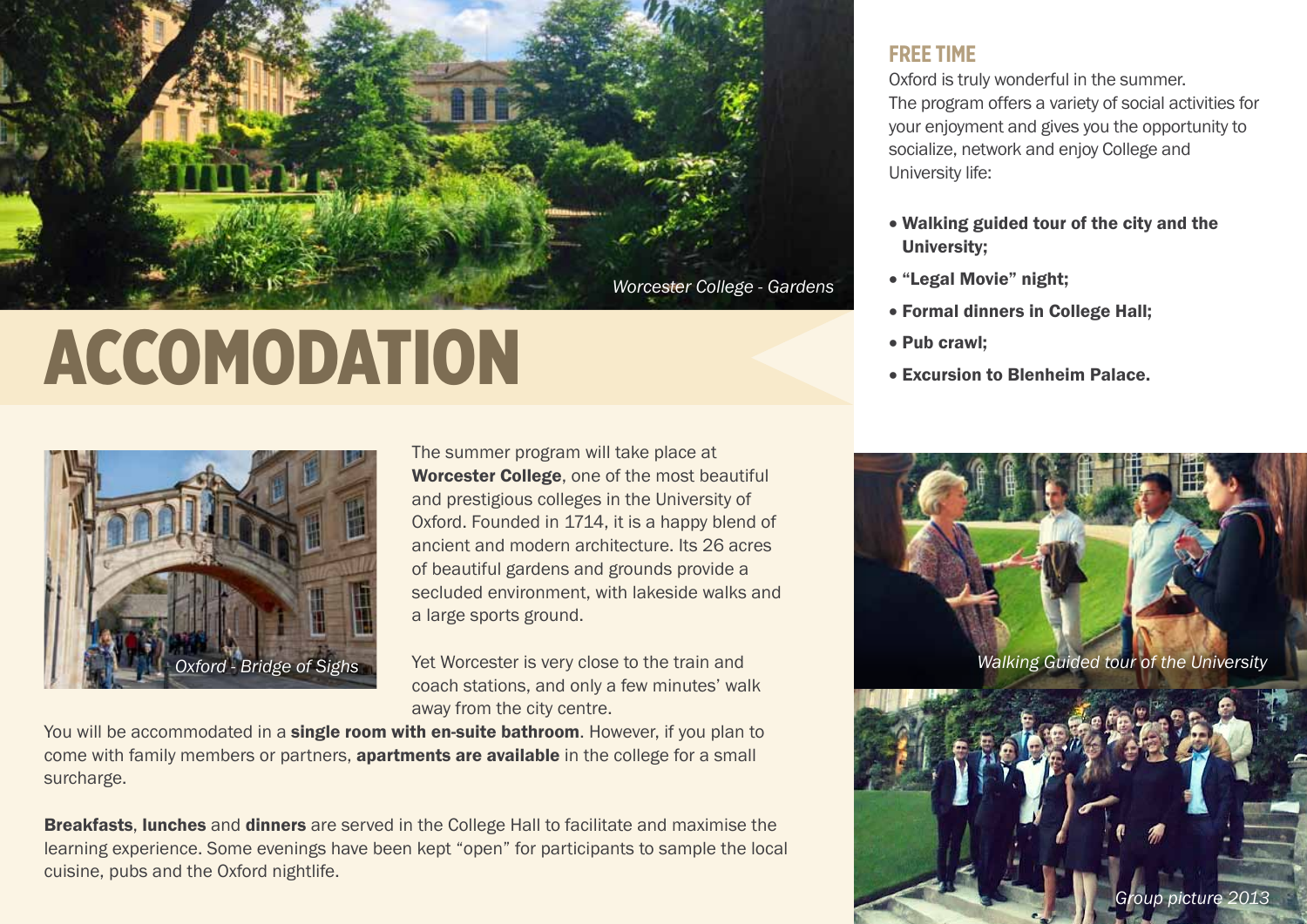

# ACCOMODATION



The summer program will take place at Worcester College, one of the most beautiful and prestigious colleges in the University of Oxford. Founded in 1714, it is a happy blend of ancient and modern architecture. Its 26 acres of beautiful gardens and grounds provide a secluded environment, with lakeside walks and a large sports ground.

Yet Worcester is very close to the train and coach stations, and only a few minutes' walk away from the city centre.

You will be accommodated in a single room with en-suite bathroom. However, if you plan to come with family members or partners, **apartments are available** in the college for a small surcharge.

**Breakfasts, lunches** and **dinners** are served in the College Hall to facilitate and maximise the learning experience. Some evenings have been kept "open" for participants to sample the local cuisine, pubs and the Oxford nightlife.

### **Free Time**

Oxford is truly wonderful in the summer. The program offers a variety of social activities for your enjoyment and gives you the opportunity to socialize, network and enjoy College and University life:

- • Walking guided tour of the city and the University;
- • "Legal Movie" night;
- • Formal dinners in College Hall;
- Pub crawl;
- • Excursion to Blenheim Palace.